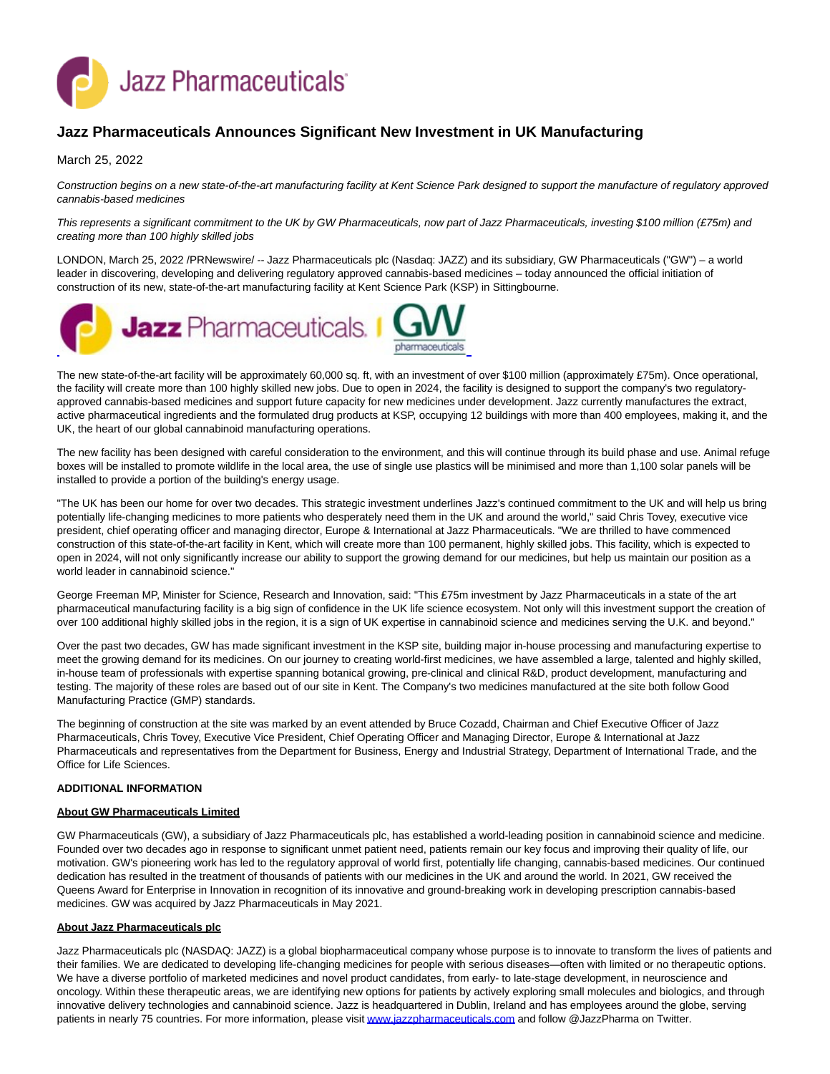

# **Jazz Pharmaceuticals Announces Significant New Investment in UK Manufacturing**

## March 25, 2022

Construction begins on a new state-of-the-art manufacturing facility at Kent Science Park designed to support the manufacture of regulatory approved cannabis-based medicines

This represents a significant commitment to the UK by GW Pharmaceuticals, now part of Jazz Pharmaceuticals, investing \$100 million (£75m) and creating more than 100 highly skilled jobs

LONDON, March 25, 2022 /PRNewswire/ -- Jazz Pharmaceuticals plc (Nasdaq: JAZZ) and its subsidiary, GW Pharmaceuticals ("GW") – a world leader in discovering, developing and delivering regulatory approved cannabis-based medicines – today announced the official initiation of construction of its new, state-of-the-art manufacturing facility at Kent Science Park (KSP) in Sittingbourne.



The new state-of-the-art facility will be approximately 60,000 sq. ft, with an investment of over \$100 million (approximately £75m). Once operational, the facility will create more than 100 highly skilled new jobs. Due to open in 2024, the facility is designed to support the company's two regulatoryapproved cannabis-based medicines and support future capacity for new medicines under development. Jazz currently manufactures the extract, active pharmaceutical ingredients and the formulated drug products at KSP, occupying 12 buildings with more than 400 employees, making it, and the UK, the heart of our global cannabinoid manufacturing operations.

The new facility has been designed with careful consideration to the environment, and this will continue through its build phase and use. Animal refuge boxes will be installed to promote wildlife in the local area, the use of single use plastics will be minimised and more than 1,100 solar panels will be installed to provide a portion of the building's energy usage.

"The UK has been our home for over two decades. This strategic investment underlines Jazz's continued commitment to the UK and will help us bring potentially life-changing medicines to more patients who desperately need them in the UK and around the world," said Chris Tovey, executive vice president, chief operating officer and managing director, Europe & International at Jazz Pharmaceuticals. "We are thrilled to have commenced construction of this state-of-the-art facility in Kent, which will create more than 100 permanent, highly skilled jobs. This facility, which is expected to open in 2024, will not only significantly increase our ability to support the growing demand for our medicines, but help us maintain our position as a world leader in cannabinoid science."

George Freeman MP, Minister for Science, Research and Innovation, said: "This £75m investment by Jazz Pharmaceuticals in a state of the art pharmaceutical manufacturing facility is a big sign of confidence in the UK life science ecosystem. Not only will this investment support the creation of over 100 additional highly skilled jobs in the region, it is a sign of UK expertise in cannabinoid science and medicines serving the U.K. and beyond."

Over the past two decades, GW has made significant investment in the KSP site, building major in-house processing and manufacturing expertise to meet the growing demand for its medicines. On our journey to creating world-first medicines, we have assembled a large, talented and highly skilled, in-house team of professionals with expertise spanning botanical growing, pre-clinical and clinical R&D, product development, manufacturing and testing. The majority of these roles are based out of our site in Kent. The Company's two medicines manufactured at the site both follow Good Manufacturing Practice (GMP) standards.

The beginning of construction at the site was marked by an event attended by Bruce Cozadd, Chairman and Chief Executive Officer of Jazz Pharmaceuticals, Chris Tovey, Executive Vice President, Chief Operating Officer and Managing Director, Europe & International at Jazz Pharmaceuticals and representatives from the Department for Business, Energy and Industrial Strategy, Department of International Trade, and the Office for Life Sciences.

#### **ADDITIONAL INFORMATION**

#### **About GW Pharmaceuticals Limited**

GW Pharmaceuticals (GW), a subsidiary of Jazz Pharmaceuticals plc, has established a world-leading position in cannabinoid science and medicine. Founded over two decades ago in response to significant unmet patient need, patients remain our key focus and improving their quality of life, our motivation. GW's pioneering work has led to the regulatory approval of world first, potentially life changing, cannabis-based medicines. Our continued dedication has resulted in the treatment of thousands of patients with our medicines in the UK and around the world. In 2021, GW received the Queens Award for Enterprise in Innovation in recognition of its innovative and ground-breaking work in developing prescription cannabis-based medicines. GW was acquired by Jazz Pharmaceuticals in May 2021.

#### **About Jazz Pharmaceuticals plc**

Jazz Pharmaceuticals plc (NASDAQ: JAZZ) is a global biopharmaceutical company whose purpose is to innovate to transform the lives of patients and their families. We are dedicated to developing life-changing medicines for people with serious diseases—often with limited or no therapeutic options. We have a diverse portfolio of marketed medicines and novel product candidates, from early- to late-stage development, in neuroscience and oncology. Within these therapeutic areas, we are identifying new options for patients by actively exploring small molecules and biologics, and through innovative delivery technologies and cannabinoid science. Jazz is headquartered in Dublin, Ireland and has employees around the globe, serving patients in nearly 75 countries. For more information, please visi[t www.jazzpharmaceuticals.com a](https://c212.net/c/link/?t=0&l=en&o=2943784-1&h=262097455&u=https%3A%2F%2Fc212.net%2Fc%2Flink%2F%3Ft%3D0%26l%3Den%26o%3D2862994-1%26h%3D1700262891%26u%3Dhttp%253A%252F%252Fwww.jazzpharmaceuticals.com%252F%26a%3Dwww.jazzpharmaceuticals.com&a=www.jazzpharmaceuticals.com)nd follow @JazzPharma on Twitter.